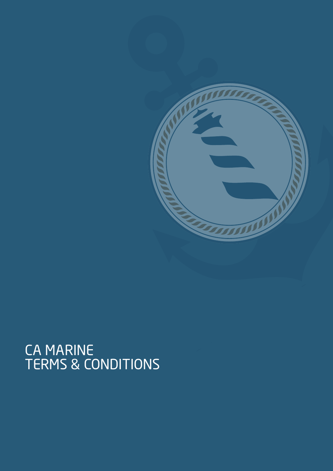

# CA MARINE<br>TERMS & CONDITIONS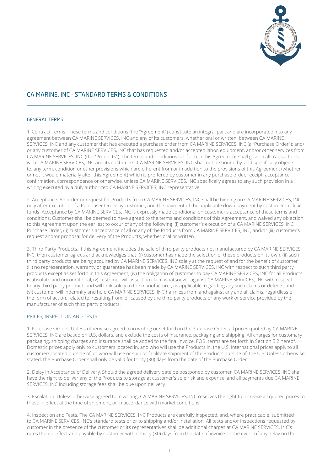

# GENERAL TERMS

1. Contract Terms. These terms and conditions (the "Agreement") constitute an integral part and are incorporated into any agreement between CA MARINE SERVICES, INC and any of its customers, whether oral or written; between CA MARINE SERVICES, INC and any customer that has executed a purchase order from CA MARINE SERVICES, INC (a "Purchase Order"); and/ or any customer of CA MARINE SERVICES, INC that has requested and/or accepted labor, equipment, and/or other services from CA MARINE SERVICES, INC (the "Products"). The terms and conditions set forth in this Agreement shall govern all transactions with CA MARINE SERVICES, INC and its customers. CA MARINE SERVICES, INC shall not be bound by, and specifically objects to, any term, condition or other provisions which are different from or in addition to the provisions of this Agreement (whether or not it would materially alter this Agreement) which is proffered by customer in any purchase order, receipt, acceptance, confirmation, correspondence or otherwise, unless CA MARINE SERVICES, INC specifically agrees to any such provision in a writing executed by a duly authorized CA MARINE SERVICES, INC representative.

2. Acceptance. An order or request for Products from CA MARINE SERVICES, INC shall be binding on CA MARINE SERVICES, INC only after execution of a Purchaser Order by customer, and the payment of the applicable down payment by customer in clear funds. Acceptance by CA MARINE SERVICES, INC is expressly made conditional on customer's acceptance of these terms and conditions. Customer shall be deemed to have agreed to the terms and conditions of this Agreement, and waived any objection to this Agreement upon the earliest to occur of any of the following: (i) customer's execution of a CA MARINE SERVICES, INC Purchase Order, (ii) customer's acceptance of all or any of the Products from CA MARINE SERVICES, INC, and/or (iii) customer's request and/or proposal for delivery of the Products, whether oral or written.

3. Third Party Products. If this Agreement includes the sale of third party products not manufactured by CA MARINE SERVICES, INC, then customer agrees and acknowledges that: (i) customer has made the selection of these products on its own, (ii) such third party products are being acquired by CA MARINE SERVICES, INC solely at the request of and for the benefit of customer, (iii) no representation, warranty or guarantee has been made by CA MARINE SERVICES, INC with respect to such third party products except as set forth in this Agreement, (iv) the obligation of customer to pay CA MARINE SERVICES, INC for all Products is absolute and unconditional, (v) customer will assert no claim whatsoever against CA MARINE SERVICES, INC with respect to any third party product, and will look solely to the manufacturer, as applicable, regarding any such claims or defects, and (vi) customer will indemnify and hold CA MARINE SERVICES, INC harmless from and against any and all claims, regardless of the form of action, related to, resulting from, or caused by the third party products or any work or service provided by the manufacturer of such third party products.

# PRICES; INSPECTION AND TESTS

1. Purchase Orders. Unless otherwise agreed to in writing or set forth in the Purchase Order, all prices quoted by CA MARINE SERVICES, INC are based on U.S. dollars, and exclude the costs of insurance, packaging and shipping. All charges for customary packaging, shipping charges and insurance shall be added to the final invoice. FOB. terms are set forth in Section 5.2 hereof. Domestic prices apply only to customers located in, and who will use the Products in, the U.S. International prices apply to all customers located outside of, or who will use or ship or facilitate shipment of the Products outside of, the U.S. Unless otherwise stated, the Purchase Order shall only be valid for thirty (30) days from the date of the Purchase Order.

2. Delay in Acceptance of Delivery. Should the agreed delivery date be postponed by customer, CA MARINE SERVICES, INC shall have the right to deliver any of the Products to storage at customer's sole risk and expense, and all payments due CA MARINE SERVICES, INC including storage fees shall be due upon delivery.

3. Escalation. Unless otherwise agreed to in writing, CA MARINE SERVICES, INC reserves the right to increase all quoted prices to those in effect at the time of shipment, or in accordance with market conditions.

4. Inspection and Tests. The CA MARINE SERVICES, INC Products are carefully inspected, and, where practicable, submitted to CA MARINE SERVICES, INC's standard tests prior to shipping and/or installation. All tests and/or inspections requested by customer in the presence of the customer or its representatives shall be additional charges at CA MARINE SERVICES, INC's rates then in effect and payable by customer within thirty (30) days from the date of invoice. In the event of any delay on the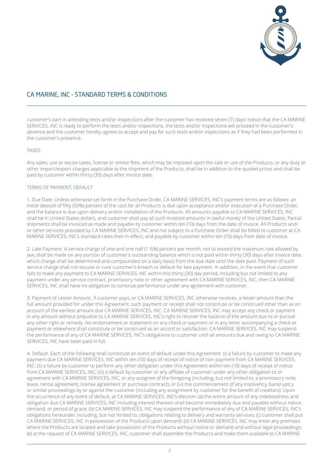

customer's part in attending tests and/or inspections after the customer has received seven (7) days' notice that the CA MARINE SERVICES, INC is ready to perform the tests and/or inspections, the tests and/or inspections will proceed in the customer's absence and the customer hereby agrees to accept and pay for such tests and/or inspections as if they had been performed in the customer's presence.

## TAXES

Any sales, use or excise taxes, license or similar fees, which may be imposed upon the sale or use of the Products, or any duty or other import/export charges applicable to the shipment of the Products, shall be in addition to the quoted prices and shall be paid by customer within thirty (30) days after invoice date.

# TERMS OF PAYMENT; DEFAULT

1. Due Date. Unless otherwise set forth in the Purchase Order, CA MARINE SERVICES, INC's payment terms are as follows: an initial deposit of fifty (50%) percent of the cost for all Products is due upon acceptance and/or execution of a Purchase Order, and the balance is due upon delivery and/or installation of the Products. All amounts payable to CA MARINE SERVICES, INC shall be in United States dollars, and customer shall pay all such invoiced amounts in lawful money of the United States. Partial shipments shall be invoiced as made and payable by customer within ten (10) days from the date of invoice. All Products and/ or other services provided by CA MARINE SERVICES, INC and not subject to a Purchase Order shall be billed to customer at CA MARINE SERVICES, INC's standard rates then in effect, and payable by customer within ten (10) days from date of invoice.

2. Late Payment. A service charge of one and one half (1 ½%) percent per month, not to exceed the maximum rate allowed by law, shall be made on any portion of customer's outstanding balance which is not paid within thirty (30) days after invoice date, which charge shall be determined and compounded on a daily basis from the due date until the date paid. Payment of such service charge shall not excuse or cure customer's breach or default for late payment. In addition, in the event that customer fails to make any payment to CA MARINE SERVICES, INC within this thirty (30) day period, including but not limited to any payment under any service contract, promissory note or other agreement with CA MARINE SERVICES, INC, then CA MARINE SERVICES, INC shall have no obligation to continue performance under any agreement with customer.

3. Payment of Lesser Amount. If customer pays, or CA MARINE SERVICES, INC otherwise receives, a lesser amount than the full amount provided for under this Agreement, such payment or receipt shall not constitute or be construed other than as on account of the earliest amount due CA MARINE SERVICES, INC. CA MARINE SERVICES, INC may accept any check or payment in any amount without prejudice to CA MARINE SERVICES, INC's right to recover the balance of the amount due to or pursue any other right or remedy. No endorsement or statement on any check or payment or in any letter accompanying a check or payment or elsewhere shall constitute or be construed as an accord or satisfaction. CA MARINE SERVICES, INC may suspend the performance of any of CA MARINE SERVICES, INC's obligations to customer until all amounts due and owing to CA MARINE SERVICES, INC have been paid in full.

4. Default. Each of the following shall constitute an event of default under this Agreement: (i) a failure by customer to make any payment due CA MARINE SERVICES, INC within ten (10) days of receipt of notice of non-payment from CA MARINE SERVICES, INC; (ii) a failure by customer to perform any other obligation under this Agreement within ten (10) days of receipt of notice from CA MARINE SERVICES, INC; (iii) a default by customer or any affiliate of customer under any other obligation to or agreement with CA MARINE SERVICES, INC, or any assignee of the foregoing (including, but not limited to, a promissory note, lease, rental agreement, license agreement or purchase contract); or (iv) the commencement of any insolvency, bankruptcy or similar proceedings by or against the customer (including any assignment by customer for the benefit of creditors). Upon the occurrence of any event of default, at CA MARINE SERVICES, INC's election: (a) the entire amount of any indebtedness and obligation due CA MARINE SERVICES, INC including interest thereon shall become immediately due and payable without notice, demand, or period of grace; (b) CA MARINE SERVICES, INC may suspend the performance of any of CA MARINE SERVICES, INC's obligations hereunder, including, but not limited to, obligations relating to delivery and warranty services; (c) customer shall put CA MARINE SERVICES, INC in possession of the Products upon demand; (d) CA MARINE SERVICES, INC may enter any premises where the Products are located and take possession of the Products without notice or demand and without legal proceedings; (e) at the request of CA MARINE SERVICES, INC, customer shall assemble the Products and make them available to CA MARINE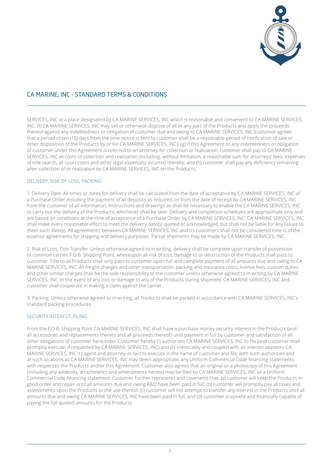

SERVICES, INC at a place designated by CA MARINE SERVICES, INC which is reasonable and convenient to CA MARINE SERVICES, INC; (f) CA MARINE SERVICES, INC may sell or otherwise dispose of all or any part of the Products and apply the proceeds thereof against any indebtedness or obligation of customer due and owing to CA MARINE SERVICES, INC (customer agrees that a period of ten (10) days from the time notice is sent to customer shall be a reasonable period of notification of sale or other disposition of the Products by or for CA MARINE SERVICES, INC); (g) if this Agreement or any indebtedness or obligation of customer under this Agreement is referred to an attorney for collection or realization, customer shall pay to CA MARINE SERVICES, INC all costs of collection and realization (including, without limitation, a reasonable sum for attorneys' fees, expenses of title search, all court costs and other legal expenses) incurred thereby; and (h) customer shall pay any deficiency remaining after collection of or realization by CA MARINE SERVICES, INC on the Products.

## DELIVERY; RISK OF LOSS; PACKING

1. Delivery Date. All times or dates for delivery shall be calculated from the date of acceptance by CA MARINE SERVICES, INC of a Purchase Order including the payment of all deposits as required, or from the date of receipt by CA MARINE SERVICES, INC from the customer of all information, instructions and drawings as shall be necessary to enable the CA MARINE SERVICES, INC to carry out the delivery of the Products, whichever shall be later. Delivery and completion schedules are approximate only and are based on conditions at the time of acceptance of a Purchase Order by CA MARINE SERVICES, INC. CA MARINE SERVICES, INC shall make every reasonable effort to meet the delivery date(s) quoted or acknowledged, but shall not be liable for any failure to meet such date(s). All agreements between CA MARINE SERVICES, INC and its customers shall not be considered time is of the essence agreements for shipping and delivery purposes. Partial shipments may be made by CA MARINE SERVICES, INC.

2. Risk of Loss; Title Transfer. Unless otherwise agreed to in writing, delivery shall be complete upon transfer of possession to common carrier, F.O.B. Shipping Point, whereupon all risk of loss, damage to or destruction of the Products shall pass to customer. Title to all Products shall only pass to customer upon full and complete payment of all amounts due and owing to CA MARINE SERVICES, INC. All freight charges and other transportation, packing and insurance costs, license fees, custom duties and other similar charges shall be the sole responsibility of the customer unless otherwise agreed to in writing by CA MARINE SERVICES, INC. In the event of any loss or damage to any of the Products during shipment, CA MARINE SERVICES, INC and customer shall cooperate in making a claim against the carrier.

3. Packing. Unless otherwise agreed to in writing, all Products shall be packed in accordance with CA MARINE SERVICES, INC's standard packing procedures.

# SECURITY INTEREST<sup>,</sup> FILING

.

From the F.O.B. Shipping Point CA MARINE SERVICES, INC shall have a purchase money security interest in the Products (and all accessories and replacements thereto and all proceeds thereof) until payment in full by customer and satisfaction of all other obligations of customer hereunder. Customer hereby (i) authorizes CA MARINE SERVICES, INC to file (and customer shall promptly execute, if requested by CA MARINE SERVICES, INC) and (ii) irrevocably and coupled with an interest appoints CA MARINE SERVICES, INC its agent and attorney-in-fact to execute in the name of customer and file, with such authorities and at such locations as CA MARINE SERVICES, INC may deem appropriate, any Uniform Commercial Code financing statements with respect to the Products and/or this Agreement. Customer also agrees that an original or a photocopy of this Agreement (including any addenda, attachments and amendments hereto) may be filed by CA MARINE SERVICES, INC as a Uniform Commercial Code financing statement. Customer further represents and covenants that: (a) customer will keep the Products in good order and repair until all amounts due and owing R&D have been paid in full, (b) customer will promptly pay all taxes and assessments upon the Products or the use thereof, (c) customer will not attempt to transfer any interest in the Products until all amounts due and owing CA MARINE SERVICES, INC have been paid in full, and (d) customer is solvent and financially capable of paying the full quoted amounts for the Products.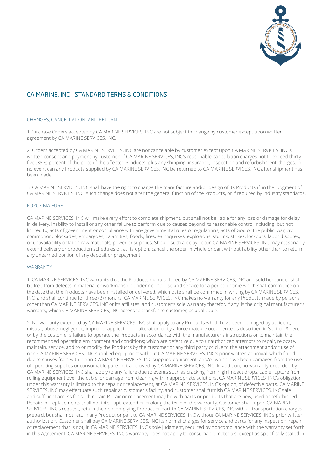

# CHANGES, CANCELLATION, AND RETURN

1.Purchase Orders accepted by CA MARINE SERVICES, INC are not subject to change by customer except upon written agreement by CA MARINE SERVICES, INC.

2. Orders accepted by CA MARINE SERVICES, INC are noncancelable by customer except upon CA MARINE SERVICES, INC's written consent and payment by customer of CA MARINE SERVICES, INC's reasonable cancellation charges not to exceed thirtyfive (35%) percent of the price of the affected Products, plus any shipping, insurance, inspection and refurbishment charges. In no event can any Products supplied by CA MARINE SERVICES, INC be returned to CA MARINE SERVICES, INC after shipment has been made.

3. CA MARINE SERVICES, INC shall have the right to change the manufacture and/or design of its Products if, in the judgment of CA MARINE SERVICES, INC, such change does not alter the general function of the Products, or if required by industry standards.

## FORCE MAJEURE

CA MARINE SERVICES, INC will make every effort to complete shipment, but shall not be liable for any loss or damage for delay in delivery, inability to install or any other failure to perform due to causes beyond its reasonable control including, but not limited to, acts of government or compliance with any governmental rules or regulations, acts of God or the public, war, civil commotion, blockades, embargoes, calamities, floods, fires, earthquakes, explosions, storms, strikes, lockouts, labor disputes, or unavailability of labor, raw materials, power or supplies. Should such a delay occur, CA MARINE SERVICES, INC may reasonably extend delivery or production schedules or, at its option, cancel the order in whole or part without liability other than to return any unearned portion of any deposit or prepayment.

## WARRANTY

1. CA MARINE SERVICES, INC warrants that the Products manufactured by CA MARINE SERVICES, INC and sold hereunder shall be free from defects in material or workmanship under normal use and service for a period of time which shall commence on the date that the Products have been installed or delivered, which date shall be confirmed in writing by CA MARINE SERVICES, INC, and shall continue for three (3) months. CA MARINE SERVICES, INC makes no warranty for any Products made by persons other than CA MARINE SERVICES, INC or its affiliates, and customer's sole warranty therefor, if any, is the original manufacturer's warranty, which CA MARINE SERVICES, INC agrees to transfer to customer, as applicable.

2. No warranty extended by CA MARINE SERVICES, INC shall apply to any Products which have been damaged by accident, misuse, abuse, negligence, improper application or alteration or by a force majeure occurrence as described in Section 8 hereof or by the customer's failure to operate the Products in accordance with the manufacturer's instructions or to maintain the recommended operating environment and conditions; which are defective due to unauthorized attempts to repair, relocate, maintain, service, add to or modify the Products by the customer or any third party or due to the attachment and/or use of non-CA MARINE SERVICES, INC supplied equipment without CA MARINE SERVICES, INC's prior written approval; which failed due to causes from within non-CA MARINE SERVICES, INC supplied equipment, and/or which have been damaged from the use of operating supplies or consumable parts not approved by CA MARINE SERVICES, INC. In addition, no warranty extended by CA MARINE SERVICES, INC shall apply to any failure due to events such as cracking from high impact drops, cable rupture from rolling equipment over the cable, or damage from cleaning with inappropriate solutions. CA MARINE SERVICES, INC's obligation under this warranty is limited to the repair or replacement, at CA MARINE SERVICES, INC's option, of defective parts. CA MARINE SERVICES, INC may effectuate such repair at customer's facility, and customer shall furnish CA MARINE SERVICES, INC safe and sufficient access for such repair. Repair or replacement may be with parts or products that are new, used or refurbished. Repairs or replacements shall not interrupt, extend or prolong the term of the warranty. Customer shall, upon CA MARINE SERVICES, INC's request, return the noncomplying Product or part to CA MARINE SERVICES, INC with all transportation charges prepaid, but shall not return any Product or part to CA MARINE SERVICES, INC without CA MARINE SERVICES, INC's prior written authorization. Customer shall pay CA MARINE SERVICES, INC its normal charges for service and parts for any inspection, repair or replacement that is not, in CA MARINE SERVICES, INC's sole judgment, required by noncompliance with the warranty set forth in this Agreement. CA MARINE SERVICES, INC's warranty does not apply to consumable materials, except as specifically stated in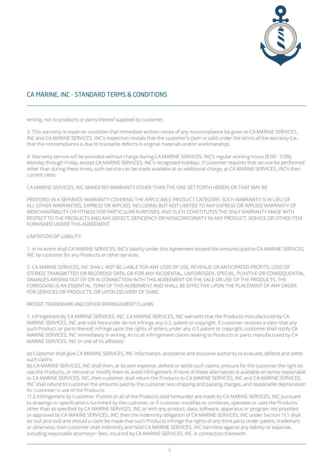

writing, nor to products or parts thereof supplied by customer.

3. This warranty is made on condition that immediate written notice of any noncompliance be given to CA MARINE SERVICES, INC and CA MARINE SERVICES, INC's inspection reveals that the customer's claim is valid under the terms of the warranty (i.e., that the noncompliance is due to traceable defects in original materials and/or workmanship).

4. Warranty service will be provided without charge during CA MARINE SERVICES, INC's regular working hours (8:00 - 5:00), Monday through Friday, except CA MARINE SERVICES, INC's recognized holidays. If customer requires that service be performed other than during these times, such service can be made available at an additional charge, at CA MARINE SERVICES, INC's then current rates.

CA MARINE SERVICES, INC MAKES NO WARRANTY OTHER THAN THE ONE SET FORTH HEREIN OR THAT MAY BE

PROVIDED IN A SEPARATE WARRANTY COVERING THE APPLICABLE PRODUCT CATEGORY. SUCH WARRANTY IS IN LIEU OF ALL OTHER WARRANTIES, EXPRESS OR IMPLIED, INCLUDING BUT NOT LIMITED TO ANY EXPRESS OR IMPLIED WARRANTY OF MERCHANTABILITY OR FITNESS FOR PARTICULAR PURPOSES, AND SUCH CONSTITUTES THE ONLY WARRANTY MADE WITH RESPECT TO THE PRODUCTS AND ANY DEFECT, DEFICIENCY OR NONCONFORMITY IN ANY PRODUCT, SERVICE OR OTHER ITEM FURNISHED UNDER THIS AGREEMENT.

# LIMITATION OF LIABILITY

1. In no event shall CA MARINE SERVICES, INC's liability under this Agreement exceed the amounts paid to CA MARINE SERVICES, INC by customer for any Products or other services.

2. CA MARINE SERVICES, INC SHALL NOT BE LIABLE FOR ANY LOSS OF USE, REVENUE OR ANTICIPATED PROFITS, LOSS OF STORED, TRANSMITTED OR RECORDED DATA, OR FOR ANY INCIDENTAL, UNFORESEEN, SPECIAL, PUNITIVE OR CONSEQUENTIAL DAMAGES ARISING OUT OF OR IN CONNECTION WITH THIS AGREEMENT OR THE SALE OR USE OF THE PRODUCTS. THE FOREGOING IS AN ESSENTIAL TERM OF THIS AGREEMENT AND SHALL BE EFFECTIVE UPON THE PLACEMENT OF ANY ORDER FOR SERVICES OR PRODUCTS, OR UPON DELIVERY OF SAME.

## PATENT, TRADEMARK AND OTHER INFRINGEMENT CLAIMS

1. Infringement by CA MARINE SERVICES, INC. CA MARINE SERVICES, INC warrants that the Products manufactured by CA MARINE SERVICES, INC and sold hereunder do not infringe any U.S. patent or copyright. If customer receives a claim that any such Product, or parts thereof, infringe upon the rights of others under any U S patent or copyright, customer shall notify CA MARINE SERVICES, INC immediately in writing. As to all infringement claims relating to Products or parts manufactured by CA MARINE SERVICES, INC or one of its affiliates:

(a) Customer shall give CA MARINE SERVICES, INC information, assistance and exclusive authority to evaluate, defend and settle such claims.

(b) CA MARINE SERVICES, INC shall then, at its own expense, defend or settle such claims, procure for the customer the right so use the Products, or remove or modify them to avoid infringement. If none of these alternatives is available on terms reasonable to CA MARINE SERVICES, INC, then customer shall return the Products to CA MARINE SERVICES, INC and CA MARINE SERVICES, INC shall refund to customer the amounts paid by the customer less shipping and packing charges, and reasonable depreciation for customer=s use of the Products.

11.2 Infringement by Customer. If some or all of the Products sold hereunder are made by CA MARINE SERVICES, INC pursuant to drawings or specifications furnished by the customer, or if customer modifies or combines, operates or uses the Products other than as specified by CA MARINE SERVICES, INC or with any product, data, software, apparatus or program not provided or approved by CA MARINE SERVICES, INC, then the indemnity obligation of CA MARINE SERVICES, INC under Section 11.1 shall be null and void and should a claim be made that such Products infringe the rights of any third party under patent, trademark or otherwise, then customer shall indemnify and hold CA MARINE SERVICES, INC harmless against any liability or expense, including reasonable attorneys= fees, incurred by CA MARINE SERVICES, INC in connection therewith.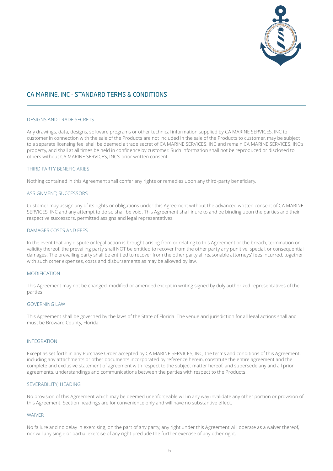

## DESIGNS AND TRADE SECRETS

Any drawings, data, designs, software programs or other technical information supplied by CA MARINE SERVICES, INC to customer in connection with the sale of the Products are not included in the sale of the Products to customer, may be subject to a separate licensing fee, shall be deemed a trade secret of CA MARINE SERVICES, INC and remain CA MARINE SERVICES, INC's property, and shall at all times be held in confidence by customer. Such information shall not be reproduced or disclosed to others without CA MARINE SERVICES, INC's prior written consent.

## THIRD PARTY BENEFICIARIES

Nothing contained in this Agreement shall confer any rights or remedies upon any third-party beneficiary.

#### ASSIGNMENT; SUCCESSORS

Customer may assign any of its rights or obligations under this Agreement without the advanced written consent of CA MARINE SERVICES, INC and any attempt to do so shall be void. This Agreement shall inure to and be binding upon the parties and their respective successors, permitted assigns and legal representatives.

#### DAMAGES COSTS AND FEES

In the event that any dispute or legal action is brought arising from or relating to this Agreement or the breach, termination or validity thereof, the prevailing party shall NOT be entitled to recover from the other party any punitive, special, or consequential damages. The prevailing party shall be entitled to recover from the other party all reasonable attorneys' fees incurred, together with such other expenses, costs and disbursements as may be allowed by law.

## MODIFICATION

This Agreement may not be changed, modified or amended except in writing signed by duly authorized representatives of the parties.

#### GOVERNING LAW

This Agreement shall be governed by the laws of the State of Florida. The venue and jurisdiction for all legal actions shall and must be Broward County, Florida.

#### INTEGRATION

Except as set forth in any Purchase Order accepted by CA MARINE SERVICES, INC, the terms and conditions of this Agreement, including any attachments or other documents incorporated by reference herein, constitute the entire agreement and the complete and exclusive statement of agreement with respect to the subject matter hereof, and supersede any and all prior agreements, understandings and communications between the parties with respect to the Products.

## SEVERABILITY; HEADING

No provision of this Agreement which may be deemed unenforceable will in any way invalidate any other portion or provision of this Agreement. Section headings are for convenience only and will have no substantive effect.

#### WAIVER

No failure and no delay in exercising, on the part of any party, any right under this Agreement will operate as a waiver thereof, nor will any single or partial exercise of any right preclude the further exercise of any other right.